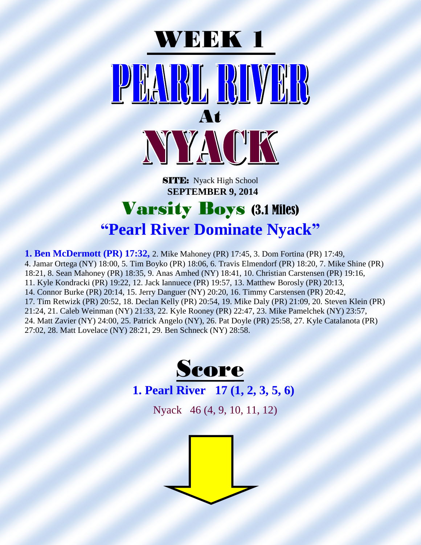

#### **SITE:** Nyack High School  **SEPTEMBER 9, 2014**

#### Varsity Boys (3.1 Miles) **"Pearl River Dominate Nyack"**

**1. Ben McDermott (PR) 17:32,** 2. Mike Mahoney (PR) 17:45, 3. Dom Fortina (PR) 17:49, 4. Jamar Ortega (NY) 18:00, 5. Tim Boyko (PR) 18:06, 6. Travis Elmendorf (PR) 18:20, 7. Mike Shine (PR) 18:21, 8. Sean Mahoney (PR) 18:35, 9. Anas Amhed (NY) 18:41, 10. Christian Carstensen (PR) 19:16, 11. Kyle Kondracki (PR) 19:22, 12. Jack Iannuece (PR) 19:57, 13. Matthew Borosly (PR) 20:13, 14. Connor Burke (PR) 20:14, 15. Jerry Danguer (NY) 20:20, 16. Timmy Carstensen (PR) 20:42, 17. Tim Retwizk (PR) 20:52, 18. Declan Kelly (PR) 20:54, 19. Mike Daly (PR) 21:09, 20. Steven Klein (PR) 21:24, 21. Caleb Weinman (NY) 21:33, 22. Kyle Rooney (PR) 22:47, 23. Mike Pamelchek (NY) 23:57, 24. Matt Zavier (NY) 24:00, 25. Patrick Angelo (NY), 26. Pat Doyle (PR) 25:58, 27. Kyle Catalanota (PR) 27:02, 28. Matt Lovelace (NY) 28:21, 29. Ben Schneck (NY) 28:58.



#### **1. Pearl River 17 (1, 2, 3, 5, 6)**

Nyack 46 (4, 9, 10, 11, 12)

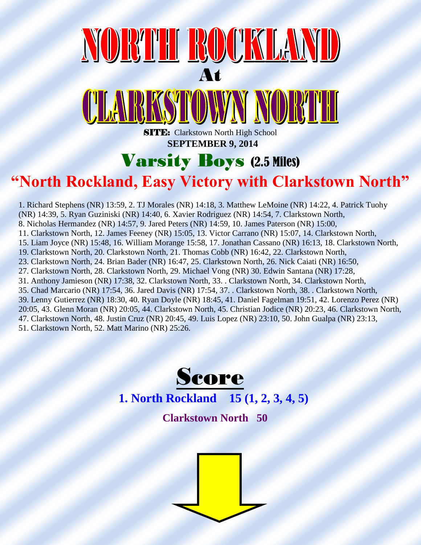### NORTH ROCKLAND At <u>CLARKSTOWN NORTH</u>

**SITE:** Clarkstown North High School  **SEPTEMBER 9, 2014**

#### Varsity Boys (2.5 Miles)

#### **"North Rockland, Easy Victory with Clarkstown North"**

1. Richard Stephens (NR) 13:59, 2. TJ Morales (NR) 14:18, 3. Matthew LeMoine (NR) 14:22, 4. Patrick Tuohy (NR) 14:39, 5. Ryan Guziniski (NR) 14:40, 6. Xavier Rodriguez (NR) 14:54, 7. Clarkstown North, 8. Nicholas Hermandez (NR) 14:57, 9. Jared Peters (NR) 14:59, 10. James Paterson (NR) 15:00, 11. Clarkstown North, 12. James Feeney (NR) 15:05, 13. Victor Carrano (NR) 15:07, 14. Clarkstown North, 15. Liam Joyce (NR) 15:48, 16. William Morange 15:58, 17. Jonathan Cassano (NR) 16:13, 18. Clarkstown North, 19. Clarkstown North, 20. Clarkstown North, 21. Thomas Cobb (NR) 16:42, 22. Clarkstown North, 23. Clarkstown North, 24. Brian Bader (NR) 16:47, 25. Clarkstown North, 26. Nick Caiati (NR) 16:50, 27. Clarkstown North, 28. Clarkstown North, 29. Michael Vong (NR) 30. Edwin Santana (NR) 17:28, 31. Anthony Jamieson (NR) 17:38, 32. Clarkstown North, 33. . Clarkstown North, 34. Clarkstown North, 35. Chad Marcario (NR) 17:54, 36. Jared Davis (NR) 17:54, 37. . Clarkstown North, 38. . Clarkstown North, 39. Lenny Gutierrez (NR) 18:30, 40. Ryan Doyle (NR) 18:45, 41. Daniel Fagelman 19:51, 42. Lorenzo Perez (NR) 20:05, 43. Glenn Moran (NR) 20:05, 44. Clarkstown North, 45. Christian Jodice (NR) 20:23, 46. Clarkstown North, 47. Clarkstown North, 48. Justin Cruz (NR) 20:45, 49. Luis Lopez (NR) 23:10, 50. John Gualpa (NR) 23:13,

51. Clarkstown North, 52. Matt Marino (NR) 25:26.



 **Clarkstown North 50**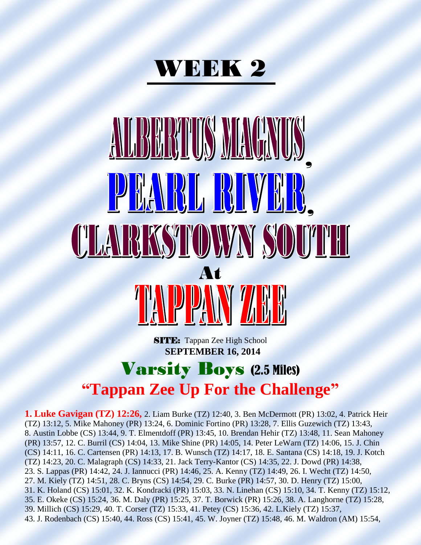

# ALBERTUS MACI , **PERISE RUNE** <u>CLARKSTOWYN SOUTH</u> At

**SITE:** Tappan Zee High School  **SEPTEMBER 16, 2014**

#### Varsity Boys (2.5 Miles) **"Tappan Zee Up For the Challenge"**

**1. Luke Gavigan (TZ) 12:26,** 2. Liam Burke (TZ) 12:40, 3. Ben McDermott (PR) 13:02, 4. Patrick Heir (TZ) 13:12, 5. Mike Mahoney (PR) 13:24, 6. Dominic Fortino (PR) 13:28, 7. Ellis Guzewich (TZ) 13:43, 8. Austin Lobbe (CS) 13:44, 9. T. Elmentdoff (PR) 13:45, 10. Brendan Hehir (TZ) 13:48, 11. Sean Mahoney (PR) 13:57, 12. C. Burril (CS) 14:04, 13. Mike Shine (PR) 14:05, 14. Peter LeWarn (TZ) 14:06, 15. J. Chin (CS) 14:11, 16. C. Cartensen (PR) 14:13, 17. B. Wunsch (TZ) 14:17, 18. E. Santana (CS) 14:18, 19. J. Kotch (TZ) 14:23, 20. C. Malagraph (CS) 14:33, 21. Jack Terry-Kantor (CS) 14:35, 22. J. Dowd (PR) 14:38, 23. S. Lappas (PR) 14:42, 24. J. Iannucci (PR) 14:46, 25. A. Kenny (TZ) 14:49, 26. I. Wecht (TZ) 14:50, 27. M. Kiely (TZ) 14:51, 28. C. Bryns (CS) 14:54, 29. C. Burke (PR) 14:57, 30. D. Henry (TZ) 15:00, 31. K. Holand (CS) 15:01, 32. K. Kondracki (PR) 15:03, 33. N. Linehan (CS) 15:10, 34. T. Kenny (TZ) 15:12, 35. E. Okeke (CS) 15:24, 36. M. Daly (PR) 15:25, 37. T. Borwick (PR) 15:26, 38. A. Langhorne (TZ) 15:28, 39. Millich (CS) 15:29, 40. T. Corser (TZ) 15:33, 41. Petey (CS) 15:36, 42. L.Kiely (TZ) 15:37, 43. J. Rodenbach (CS) 15:40, 44. Ross (CS) 15:41, 45. W. Joyner (TZ) 15:48, 46. M. Waldron (AM) 15:54,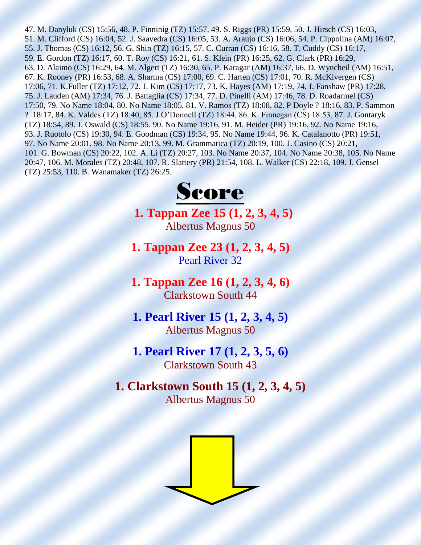47. M. Danyluk (CS) 15:56, 48. P. Finninig (TZ) 15:57, 49. S. Riggs (PR) 15:59, 50. J. Hirsch (CS) 16:03, 51. M. Clifford (CS) 16:04, 52. J. Saavedra (CS) 16:05, 53. A. Araujo (CS) 16:06, 54. P. Cippolina (AM) 16:07, 55. J. Thomas (CS) 16:12, 56. G. Shin (TZ) 16:15, 57. C. Curran (CS) 16:16, 58. T. Cuddy (CS) 16:17, 59. E. Gordon (TZ) 16:17, 60. T. Roy (CS) 16:21, 61. S. Klein (PR) 16:25, 62. G. Clark (PR) 16:29, 63. D. Alaimo (CS) 16:29, 64. M. Algert (TZ) 16:30, 65. P. Karagar (AM) 16:37, 66. D. Wyncheil (AM) 16:51, 67. K. Rooney (PR) 16:53, 68. A. Sharma (CS) 17:00, 69. C. Harten (CS) 17:01, 70. R. McKivergen (CS) 17:06, 71. K.Fuller (TZ) 17:12, 72. J. Kim (CS) 17:17, 73. K. Hayes (AM) 17:19, 74. J. Fanshaw (PR) 17:28, 75. J. Lauden (AM) 17:34, 76. J. Battaglia (CS) 17:34, 77. D. Pinelli (AM) 17:46, 78. D. Roadarmel (CS) 17:50, 79. No Name 18:04, 80. No Name 18:05, 81. V. Ramos (TZ) 18:08, 82. P Doyle ? 18:16, 83. P. Sammon ? 18:17, 84. K. Valdes (TZ) 18:40, 85. J.O'Donnell (TZ) 18:44, 86. K. Finnegan (CS) 18:53, 87. J. Gontaryk (TZ) 18:54, 89. J. Oswald (CS) 18:55. 90. No Name 19:16, 91. M. Heider (PR) 19:16, 92. No Name 19:16, 93. J. Ruotolo (CS) 19:30, 94. E. Goodman (CS) 19:34, 95. No Name 19:44, 96. K. Catalanotto (PR) 19:51, 97. No Name 20:01, 98. No Name 20:13, 99. M. Grammatica (TZ) 20:19, 100. J. Casino (CS) 20:21, 101. G. Bowman (CS) 20:22, 102. A. Li (TZ) 20:27, 103. No Name 20:37, 104. No Name 20:38, 105. No Name 20:47, 106. M. Morales (TZ) 20:48, 107. R. Slattery (PR) 21:54, 108. L. Walker (CS) 22:18, 109. J. Gensel (TZ) 25:53, 110. B. Wanamaker (TZ) 26:25.



**1. Tappan Zee 15 (1, 2, 3, 4, 5)** Albertus Magnus 50

**1. Tappan Zee 23 (1, 2, 3, 4, 5)** Pearl River 32

**1. Tappan Zee 16 (1, 2, 3, 4, 6)** Clarkstown South 44

**1. Pearl River 15 (1, 2, 3, 4, 5)** Albertus Magnus 50

**1. Pearl River 17 (1, 2, 3, 5, 6)** Clarkstown South 43

**1. Clarkstown South 15 (1, 2, 3, 4, 5)** Albertus Magnus 50

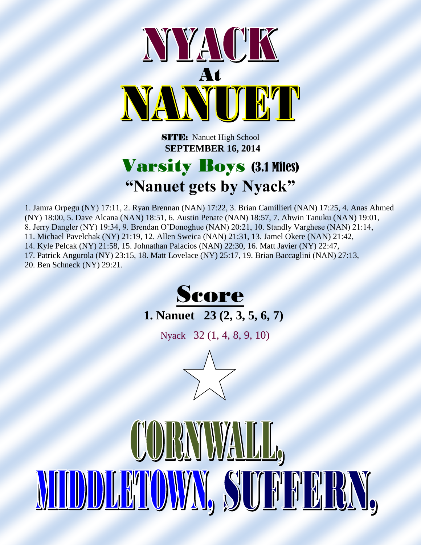

**SITE:** Nanuet High School  **SEPTEMBER 16, 2014**

#### Varsity Boys (3.1 Miles) **"Nanuet gets by Nyack"**

1. Jamra Orpegu (NY) 17:11, 2. Ryan Brennan (NAN) 17:22, 3. Brian Camillieri (NAN) 17:25, 4. Anas Ahmed (NY) 18:00, 5. Dave Alcana (NAN) 18:51, 6. Austin Penate (NAN) 18:57, 7. Ahwin Tanuku (NAN) 19:01, 8. Jerry Dangler (NY) 19:34, 9. Brendan O'Donoghue (NAN) 20:21, 10. Standly Varghese (NAN) 21:14, 11. Michael Pavelchak (NY) 21:19, 12. Allen Sweica (NAN) 21:31, 13. Jamel Okere (NAN) 21:42, 14. Kyle Pelcak (NY) 21:58, 15. Johnathan Palacios (NAN) 22:30, 16. Matt Javier (NY) 22:47, 17. Patrick Angurola (NY) 23:15, 18. Matt Lovelace (NY) 25:17, 19. Brian Baccaglini (NAN) 27:13, 20. Ben Schneck (NY) 29:21.





Nyack 32 (1, 4, 8, 9, 10)

 $\overline{a}$ 

CORYWALL,

MIDDLAMOWN, SUFFFRAN,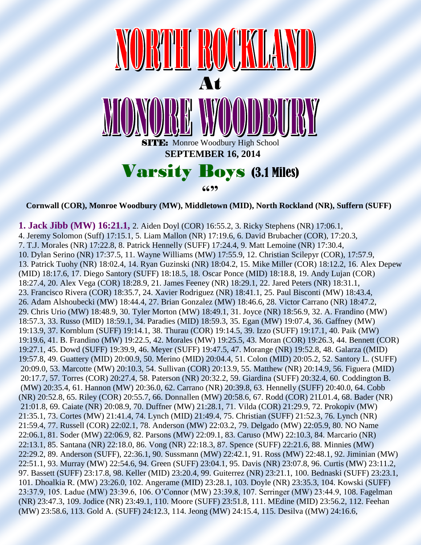

**Cornwall (COR), Monroe Woodbury (MW), Middletown (MID), North Rockland (NR), Suffern (SUFF)**

**1. Jack Jibb (MW) 16:21.1,** 2. Aiden Doyl (COR) 16:55.2, 3. Ricky Stephens (NR) 17:06.1, 4. Jeremy Solomon (Suff) 17:15.1, 5. Liam Mallon (NR) 17:19.6, 6. David Brubacher (COR), 17:20.3, 7. T.J. Morales (NR) 17:22.8, 8. Patrick Hennelly (SUFF) 17:24.4, 9. Matt Lemoine (NR) 17:30.4, 10. Dylan Serino (NR) 17:37.5, 11. Wayne Williams (MW) 17:55.9, 12. Christian Scilepyr (COR), 17:57.9, 13. Patrick Tuohy (NR) 18:02.4, 14. Ryan Guzinski (NR) 18:04.2, 15. Mike Miller (COR) 18:12.2, 16. Alex Depew (MID) 18:17.6, 17. Diego Santory (SUFF) 18:18.5, 18. Oscar Ponce (MID) 18:18.8, 19. Andy Lujan (COR) 18:27.4, 20. Alex Vega (COR) 18:28.9, 21. James Feeney (NR) 18:29.1, 22. Jared Peters (NR) 18:31.1, 23. Francisco Rivera (COR) 18:35.7, 24. Xavier Rodriguez (NR) 18:41.1, 25. Paul Bisconti (MW) 18:43.4, 26. Adam Alshoubecki (MW) 18:44.4, 27. Brian Gonzalez (MW) 18:46.6, 28. Victor Carrano (NR) 18:47.2, 29. Chris Urio (MW) 18:48.9, 30. Tyler Morton (MW) 18:49.1, 31. Joyce (NR) 18:56.9, 32. A. Frandino (MW) 18:57.3, 33. Russo (MID) 18:59.1, 34. Paradies (MID) 18:59.3, 35. Egan (MW) 19:07.4, 36. Gaffney (MW) 19:13.9, 37. Kornblum (SUFF) 19:14.1, 38. Thurau (COR) 19:14.5, 39. Izzo (SUFF) 19:17.1, 40. Paik (MW) 19:19.6, 41. B. Frandino (MW) 19:22.5, 42. Morales (MW) 19:25.5, 43. Moran (COR) 19:26.3, 44. Bennett (COR) 19:27.1, 45. Dowd (SUFF) 19:39.9, 46. Meyer (SUFF) 19:47.5, 47. Morange (NR) 19:52.8, 48. Galarza ((MID) 19:57.8, 49. Guattery (MID) 20:00.9, 50. Merino (MID) 20:04.4, 51. Colon (MID) 20:05.2, 52. Santory L. (SUFF) 20:09.0, 53. Marcotte (MW) 20:10.3, 54. Sullivan (COR) 20:13.9, 55. Matthew (NR) 20:14.9, 56. Figuera (MID) 20:17.7, 57. Torres (COR) 20:27.4, 58. Paterson (NR) 20:32.2, 59. Giardina (SUFF) 20:32.4, 60. Coddington B. (MW) 20:35.4, 61. Hannon (MW) 20:36.0, 62. Carrano (NR) 20:39.8, 63. Hennelly (SUFF) 20:40.0, 64. Cobb (NR) 20:52.8, 65. Riley (COR) 20:55.7, 66. Donnallen (MW) 20:58.6, 67. Rodd (COR) 21L01.4, 68. Bader (NR) 21:01.8, 69. Caiate (NR) 20:08.9, 70. Duffner (MW) 21:28.1, 71. Vilda (COR) 21:29.9, 72. Prokopiv (MW) 21:35.1, 73. Cortes (MW) 21:41.4, 74. Lynch (MID) 21:49.4, 75. Christian (SUFF) 21:52.3, 76. Lynch (NR) 21:59.4, 77. Russell (COR) 22:02.1, 78. Anderson (MW) 22:03.2, 79. Delgado (MW) 22:05.9, 80. NO Name 22:06.1, 81. Soder (MW) 22:06.9, 82. Parsons (MW) 22:09.1, 83. Caruso (MW) 22:10.3, 84. Marcario (NR) 22:13.1, 85. Santana (NR) 22:18.0, 86. Vong (NR) 22:18.3, 87. Spence (SUFF) 22:21.6, 88. Minnies (MW) 22:29.2, 89. Anderson (SUFF), 22:36.1, 90. Sussmann (MW) 22:42.1, 91. Ross (MW) 22:48.1, 92. Jiminian (MW) 22:51.1, 93. Murray (MW) 22:54.6, 94. Green (SUFF) 23:04.1, 95. Davis (NR) 23:07.8, 96. Curtis (MW) 23:11.2, 97. Bassett (SUFF) 23:17.8, 98. Keller (MID) 23:20.4, 99. Guiterrez (NR) 23:21.1, 100. Bednaski (SUFF) 23:23.1, 101. Dhoalkia R. (MW) 23:26.0, 102. Angerame (MID) 23:28.1, 103. Doyle (NR) 23:35.3, 104. Kowski (SUFF) 23:37.9, 105. Ladue (MW) 23:39.6, 106. O'Connor (MW) 23:39.8, 107. Serringer (MW) 23:44.9, 108. Fagelman (NR) 23:47.3, 109. Jodice (NR) 23:49.1, 110. Moore (SUFF) 23:51.8, 111. MEdine (MID) 23:56.2, 112. Feehan (MW) 23:58.6, 113. Gold A. (SUFF) 24:12.3, 114. Jeong (MW) 24:15.4, 115. Desilva ((MW) 24:16.6,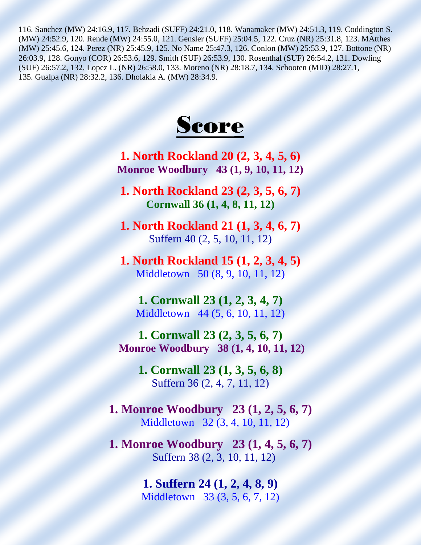116. Sanchez (MW) 24:16.9, 117. Behzadi (SUFF) 24:21.0, 118. Wanamaker (MW) 24:51.3, 119. Coddington S. (MW) 24:52.9, 120. Rende (MW) 24:55.0, 121. Gensler (SUFF) 25:04.5, 122. Cruz (NR) 25:31.8, 123. MAtthes (MW) 25:45.6, 124. Perez (NR) 25:45.9, 125. No Name 25:47.3, 126. Conlon (MW) 25:53.9, 127. Bottone (NR) 26:03.9, 128. Gonyo (COR) 26:53.6, 129. Smith (SUF) 26:53.9, 130. Rosenthal (SUF) 26:54.2, 131. Dowling (SUF) 26:57.2, 132. Lopez L. (NR) 26:58.0, 133. Moreno (NR) 28:18.7, 134. Schooten (MID) 28:27.1, 135. Gualpa (NR) 28:32.2, 136. Dholakia A. (MW) 28:34.9.



**1. North Rockland 20 (2, 3, 4, 5, 6) Monroe Woodbury 43 (1, 9, 10, 11, 12)**

**1. North Rockland 23 (2, 3, 5, 6, 7) Cornwall 36 (1, 4, 8, 11, 12)**

**1. North Rockland 21 (1, 3, 4, 6, 7)** Suffern 40 (2, 5, 10, 11, 12)

**1. North Rockland 15 (1, 2, 3, 4, 5)** Middletown 50 (8, 9, 10, 11, 12)

**1. Cornwall 23 (1, 2, 3, 4, 7)** Middletown 44 (5, 6, 10, 11, 12)

**1. Cornwall 23 (2, 3, 5, 6, 7) Monroe Woodbury 38 (1, 4, 10, 11, 12)**

> **1. Cornwall 23 (1, 3, 5, 6, 8)** Suffern 36 (2, 4, 7, 11, 12)

**1. Monroe Woodbury 23 (1, 2, 5, 6, 7)** Middletown 32 (3, 4, 10, 11, 12)

**1. Monroe Woodbury 23 (1, 4, 5, 6, 7)** Suffern 38 (2, 3, 10, 11, 12)

> **1. Suffern 24 (1, 2, 4, 8, 9)** Middletown 33 (3, 5, 6, 7, 12)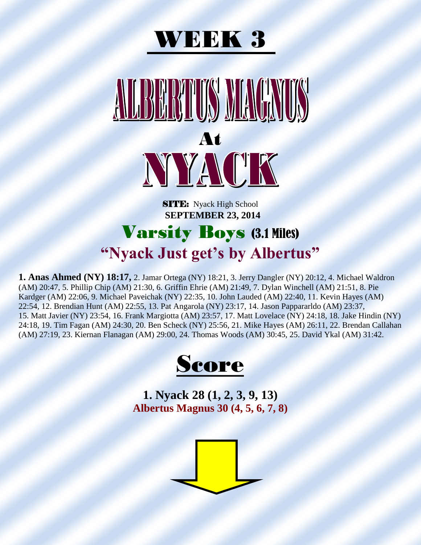



SITE: Nyack High School  **SEPTEMBER 23, 2014**

#### Varsity Boys (3.1 Miles) **"Nyack Just get's by Albertus"**

**1. Anas Ahmed (NY) 18:17,** 2. Jamar Ortega (NY) 18:21, 3. Jerry Dangler (NY) 20:12, 4. Michael Waldron (AM) 20:47, 5. Phillip Chip (AM) 21:30, 6. Griffin Ehrie (AM) 21:49, 7. Dylan Winchell (AM) 21:51, 8. Pie Kardger (AM) 22:06, 9. Michael Paveichak (NY) 22:35, 10. John Lauded (AM) 22:40, 11. Kevin Hayes (AM) 22:54, 12. Brendian Hunt (AM) 22:55, 13. Pat Angarola (NY) 23:17, 14. Jason Pappararldo (AM) 23:37, 15. Matt Javier (NY) 23:54, 16. Frank Margiotta (AM) 23:57, 17. Matt Lovelace (NY) 24:18, 18. Jake Hindin (NY) 24:18, 19. Tim Fagan (AM) 24:30, 20. Ben Scheck (NY) 25:56, 21. Mike Hayes (AM) 26:11, 22. Brendan Callahan (AM) 27:19, 23. Kiernan Flanagan (AM) 29:00, 24. Thomas Woods (AM) 30:45, 25. David Ykal (AM) 31:42.



**1. Nyack 28 (1, 2, 3, 9, 13) Albertus Magnus 30 (4, 5, 6, 7, 8)**

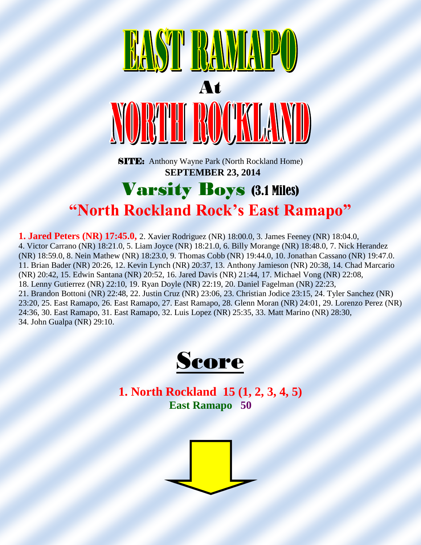

**SITE:** Anthony Wayne Park (North Rockland Home)  **SEPTEMBER 23, 2014**

#### Varsity Boys (3.1 Miles) **"North Rockland Rock's East Ramapo"**

**1. Jared Peters (NR) 17:45.0,** 2. Xavier Rodriguez (NR) 18:00.0, 3. James Feeney (NR) 18:04.0, 4. Victor Carrano (NR) 18:21.0, 5. Liam Joyce (NR) 18:21.0, 6. Billy Morange (NR) 18:48.0, 7. Nick Herandez (NR) 18:59.0, 8. Nein Mathew (NR) 18:23.0, 9. Thomas Cobb (NR) 19:44.0, 10. Jonathan Cassano (NR) 19:47.0. 11. Brian Bader (NR) 20:26, 12. Kevin Lynch (NR) 20:37, 13. Anthony Jamieson (NR) 20:38, 14. Chad Marcario (NR) 20:42, 15. Edwin Santana (NR) 20:52, 16. Jared Davis (NR) 21:44, 17. Michael Vong (NR) 22:08, 18. Lenny Gutierrez (NR) 22:10, 19. Ryan Doyle (NR) 22:19, 20. Daniel Fagelman (NR) 22:23, 21. Brandon Bottoni (NR) 22:48, 22. Justin Cruz (NR) 23:06, 23. Christian Jodice 23:15, 24. Tyler Sanchez (NR) 23:20, 25. East Ramapo, 26. East Ramapo, 27. East Ramapo, 28. Glenn Moran (NR) 24:01, 29. Lorenzo Perez (NR) 24:36, 30. East Ramapo, 31. East Ramapo, 32. Luis Lopez (NR) 25:35, 33. Matt Marino (NR) 28:30, 34. John Gualpa (NR) 29:10.



**1. North Rockland 15 (1, 2, 3, 4, 5) East Ramapo 50**

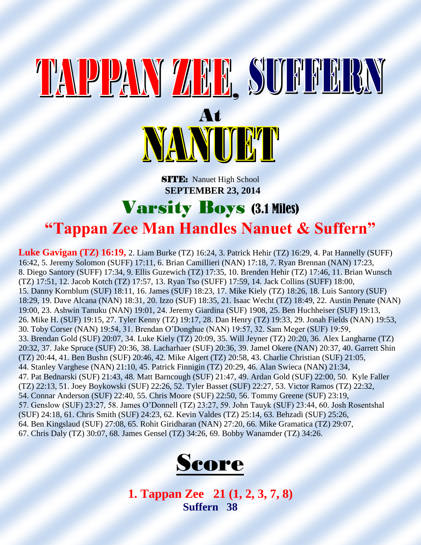# TAPPANY ZAR SUFFERN At<br>NANULLL

**SITE:** Nanuet High School  **SEPTEMBER 23, 2014**

#### Varsity Boys (3.1 Miles) **"Tappan Zee Man Handles Nanuet & Suffern"**

**Luke Gavigan (TZ) 16:19,** 2. Liam Burke (TZ) 16:24, 3. Patrick Hehir (TZ) 16:29, 4. Pat Hannelly (SUFF) 16:42, 5. Jeremy Solomon (SUFF) 17:11, 6. Brian Camillieri (NAN) 17:18, 7. Ryan Brennan (NAN) 17:23, 8. Diego Santory (SUFF) 17:34, 9. Ellis Guzewich (TZ) 17:35, 10. Brenden Hehir (TZ) 17:46, 11. Brian Wunsch (TZ) 17:51, 12. Jacob Kotch (TZ) 17:57, 13. Ryan Tso (SUFF) 17:59, 14. Jack Collins (SUFF) 18:00, 15. Danny Kornblum (SUF) 18:11, 16. James (SUF) 18:23, 17. Mike Kiely (TZ) 18:26, 18. Luis Santory (SUF) 18:29, 19. Dave Alcana (NAN) 18:31, 20. Izzo (SUF) 18:35, 21. Isaac Wecht (TZ) 18:49, 22. Austin Penate (NAN) 19:00, 23. Ashwin Tanuku (NAN) 19:01, 24. Jeremy Giardina (SUF) 1908, 25. Ben Huchheiser (SUF) 19:13, 26. Mike H. (SUF) 19:15, 27. Tyler Kenny (TZ) 19:17, 28. Dan Henry (TZ) 19:33, 29. Jonah Fields (NAN) 19:53, 30. Toby Corser (NAN) 19:54, 31. Brendan O'Donghue (NAN) 19:57, 32. Sam Meger (SUF) 19:59, 33. Brendan Gold (SUF) 20:07, 34. Luke Kiely (TZ) 20:09, 35. Will Jeyner (TZ) 20:20, 36. Alex Langharne (TZ) 20:32, 37. Jake Spruce (SUF) 20:36, 38. Lacharhaer (SUF) 20:36, 39. Jamel Okere (NAN) 20:37, 40. Garrett Shin (TZ) 20:44, 41. Ben Bushn (SUF) 20:46, 42. Mike Algert (TZ) 20:58, 43. Charlie Christian (SUF) 21:05, 44. Stanley Varghese (NAN) 21:10, 45. Patrick Finnigin (TZ) 20:29, 46. Alan Swieca (NAN) 21:34, 47. Pat Bednarski (SUF) 21:43, 48. Matt Barncough (SUF) 21:47, 49. Ardan Gold (SUF) 22:00, 50. Kyle Faller (TZ) 22:13, 51. Joey Boykowski (SUF) 22:26, 52. Tyler Basset (SUF) 22:27, 53. Victor Ramos (TZ) 22:32, 54. Connar Anderson (SUF) 22:40, 55. Chris Moore (SUF) 22:50, 56. Tommy Greene (SUF) 23:19, 57. Genslow (SUF) 23:27, 58. James O'Donnell (TZ) 23:27, 59. John Tauyk (SUF) 23:44, 60. Josh Rosentshal (SUF) 24:18, 61. Chris Smith (SUF) 24:23, 62. Kevin Valdes (TZ) 25:14, 63. Behzadi (SUF) 25:26, 64. Ben Kingslaud (SUF) 27:08, 65. Rohit Giridharan (NAN) 27:20, 66. Mike Gramatica (TZ) 29:07, 67. Chris Daly (TZ) 30:07, 68. James Gensel (TZ) 34:26, 69. Bobby Wanamder (TZ) 34:26.



**1. Tappan Zee 21 (1, 2, 3, 7, 8) Suffern 38**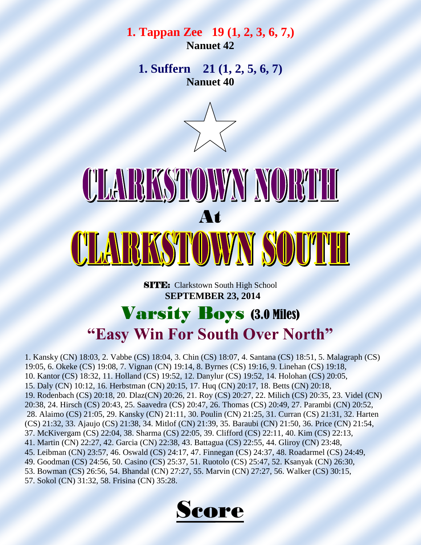#### **1. Tappan Zee 19 (1, 2, 3, 6, 7,) Nanuet 42**

**1. Suffern 21 (1, 2, 5, 6, 7) Nanuet 40**



## <u>CLARKSTOWNY NORTH</u> At CLARKSTOWN SOUTH

**SITE:** Clarkstown South High School  **SEPTEMBER 23, 2014**

#### Varsity Boys (3.0 Miles) **"Easy Win For South Over North"**

1. Kansky (CN) 18:03, 2. Vabbe (CS) 18:04, 3. Chin (CS) 18:07, 4. Santana (CS) 18:51, 5. Malagraph (CS) 19:05, 6. Okeke (CS) 19:08, 7. Vignan (CN) 19:14, 8. Byrnes (CS) 19:16, 9. Linehan (CS) 19:18, 10. Kantor (CS) 18:32, 11. Holland (CS) 19:52, 12. Danylur (CS) 19:52, 14. Holohan (CS) 20:05, 15. Daly (CN) 10:12, 16. Herbstman (CN) 20:15, 17. Huq (CN) 20:17, 18. Betts (CN) 20:18, 19. Rodenbach (CS) 20:18, 20. Dlaz(CN) 20:26, 21. Roy (CS) 20:27, 22. Milich (CS) 20:35, 23. Videl (CN) 20:38, 24. Hirsch (CS) 20:43, 25. Saavedra (CS) 20:47, 26. Thomas (CS) 20:49, 27. Parambi (CN) 20:52, 28. Alaimo (CS) 21:05, 29. Kansky (CN) 21:11, 30. Poulin (CN) 21:25, 31. Curran (CS) 21:31, 32. Harten (CS) 21:32, 33. Ajaujo (CS) 21:38, 34. Mitlof (CN) 21:39, 35. Baraubi (CN) 21:50, 36. Price (CN) 21:54, 37. McKivergam (CS) 22:04, 38. Sharma (CS) 22:05, 39. Clifford (CS) 22:11, 40. Kim (CS) 22:13, 41. Martin (CN) 22:27, 42. Garcia (CN) 22:38, 43. Battagua (CS) 22:55, 44. Gliroy (CN) 23:48, 45. Leibman (CN) 23:57, 46. Oswald (CS) 24:17, 47. Finnegan (CS) 24:37, 48. Roadarmel (CS) 24:49, 49. Goodman (CS) 24:56, 50. Casino (CS) 25:37, 51. Ruotolo (CS) 25:47, 52. Ksanyak (CN) 26:30, 53. Bowman (CS) 26:56, 54. Bhandal (CN) 27:27, 55. Marvin (CN) 27:27, 56. Walker (CS) 30:15, 57. Sokol (CN) 31:32, 58. Frisina (CN) 35:28.

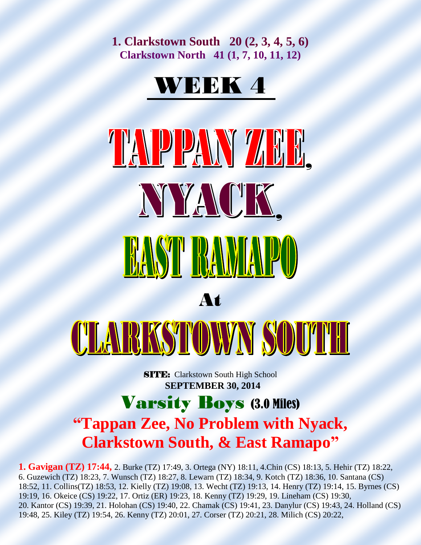**1. Clarkstown South 20 (2, 3, 4, 5, 6) Clarkstown North 41 (1, 7, 10, 11, 12)** 

#### WEEK 4

TAPPAW ZE NYACK. **EAST BAMIAPO** At CLARKSTOWN SOUTH

> **SITE:** Clarkstown South High School  **SEPTEMBER 30, 2014**

#### Varsity Boys (3.0 Miles) **"Tappan Zee, No Problem with Nyack, Clarkstown South, & East Ramapo"**

**1. Gavigan (TZ) 17:44,** 2. Burke (TZ) 17:49, 3. Ortega (NY) 18:11, 4.Chin (CS) 18:13, 5. Hehir (TZ) 18:22, 6. Guzewich (TZ) 18:23, 7. Wunsch (TZ) 18:27, 8. Lewarn (TZ) 18:34, 9. Kotch (TZ) 18:36, 10. Santana (CS) 18:52, 11. Collins(TZ) 18:53, 12. Kielly (TZ) 19:08, 13. Wecht (TZ) 19:13, 14. Henry (TZ) 19:14, 15. Byrnes (CS) 19:19, 16. Okeice (CS) 19:22, 17. Ortiz (ER) 19:23, 18. Kenny (TZ) 19:29, 19. Lineham (CS) 19:30, 20. Kantor (CS) 19:39, 21. Holohan (CS) 19:40, 22. Chamak (CS) 19:41, 23. Danylur (CS) 19:43, 24. Holland (CS) 19:48, 25. Kiley (TZ) 19:54, 26. Kenny (TZ) 20:01, 27. Corser (TZ) 20:21, 28. Milich (CS) 20:22,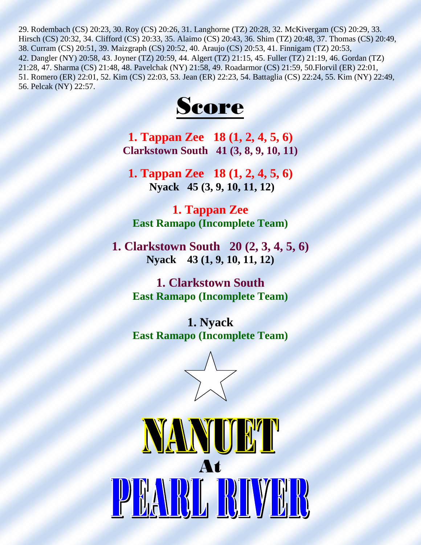29. Rodembach (CS) 20:23, 30. Roy (CS) 20:26, 31. Langhorne (TZ) 20:28, 32. McKivergam (CS) 20:29, 33. Hirsch (CS) 20:32, 34. Clifford (CS) 20:33, 35. Alaimo (CS) 20:43, 36. Shim (TZ) 20:48, 37. Thomas (CS) 20:49, 38. Curram (CS) 20:51, 39. Maizgraph (CS) 20:52, 40. Araujo (CS) 20:53, 41. Finnigam (TZ) 20:53, 42. Dangler (NY) 20:58, 43. Joyner (TZ) 20:59, 44. Algert (TZ) 21:15, 45. Fuller (TZ) 21:19, 46. Gordan (TZ) 21:28, 47. Sharma (CS) 21:48, 48. Pavelchak (NY) 21:58, 49. Roadarmor (CS) 21:59, 50.Florvil (ER) 22:01, 51. Romero (ER) 22:01, 52. Kim (CS) 22:03, 53. Jean (ER) 22:23, 54. Battaglia (CS) 22:24, 55. Kim (NY) 22:49, 56. Pelcak (NY) 22:57.



**1. Tappan Zee 18 (1, 2, 4, 5, 6) Clarkstown South 41 (3, 8, 9, 10, 11)** 

**1. Tappan Zee 18 (1, 2, 4, 5, 6) Nyack 45 (3, 9, 10, 11, 12)**

**1. Tappan Zee East Ramapo (Incomplete Team)**

**1. Clarkstown South 20 (2, 3, 4, 5, 6) Nyack 43 (1, 9, 10, 11, 12)**

> **1. Clarkstown South East Ramapo (Incomplete Team)**

> **1. Nyack East Ramapo (Incomplete Team)**

> > $\overline{\phantom{a}}$